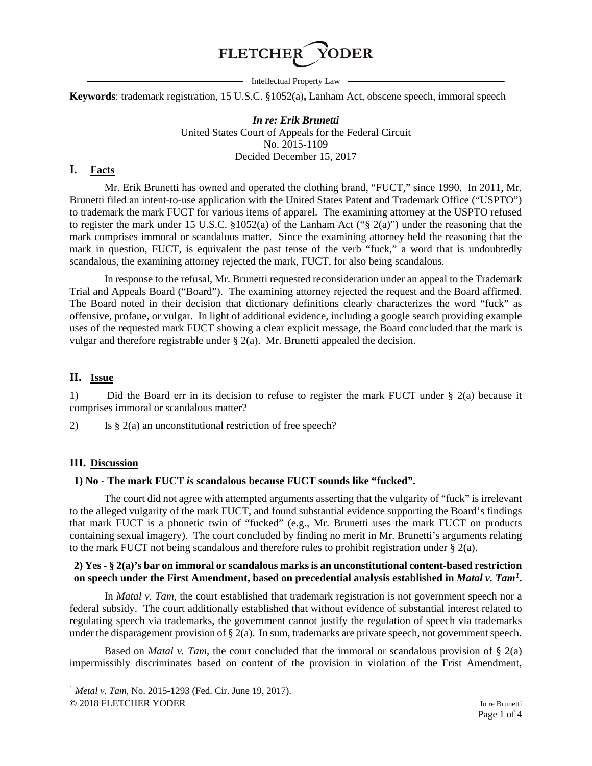

 $-$  Intellectual Property Law  $-$ 

**Keywords**: trademark registration, 15 U.S.C. §1052(a)**,** Lanham Act, obscene speech, immoral speech

*In re: Erik Brunetti* United States Court of Appeals for the Federal Circuit No. 2015-1109 Decided December 15, 2017

#### **I. Facts**

Mr. Erik Brunetti has owned and operated the clothing brand, "FUCT," since 1990. In 2011, Mr. Brunetti filed an intent-to-use application with the United States Patent and Trademark Office ("USPTO") to trademark the mark FUCT for various items of apparel. The examining attorney at the USPTO refused to register the mark under 15 U.S.C. §1052(a) of the Lanham Act ("§ 2(a)") under the reasoning that the mark comprises immoral or scandalous matter. Since the examining attorney held the reasoning that the mark in question, FUCT, is equivalent the past tense of the verb "fuck," a word that is undoubtedly scandalous, the examining attorney rejected the mark, FUCT, for also being scandalous.

In response to the refusal, Mr. Brunetti requested reconsideration under an appeal to the Trademark Trial and Appeals Board ("Board"). The examining attorney rejected the request and the Board affirmed. The Board noted in their decision that dictionary definitions clearly characterizes the word "fuck" as offensive, profane, or vulgar. In light of additional evidence, including a google search providing example uses of the requested mark FUCT showing a clear explicit message, the Board concluded that the mark is vulgar and therefore registrable under  $\S$  2(a). Mr. Brunetti appealed the decision.

# **II. Issue**

1) Did the Board err in its decision to refuse to register the mark FUCT under § 2(a) because it comprises immoral or scandalous matter?

2) Is  $\S 2(a)$  an unconstitutional restriction of free speech?

#### **III. Discussion**

### **1) No - The mark FUCT** *is* **scandalous because FUCT sounds like "fucked".**

The court did not agree with attempted arguments asserting that the vulgarity of "fuck" is irrelevant to the alleged vulgarity of the mark FUCT, and found substantial evidence supporting the Board's findings that mark FUCT is a phonetic twin of "fucked" (e.g., Mr. Brunetti uses the mark FUCT on products containing sexual imagery). The court concluded by finding no merit in Mr. Brunetti's arguments relating to the mark FUCT not being scandalous and therefore rules to prohibit registration under § 2(a).

#### **2) Yes - § 2(a)'s bar on immoral or scandalous marks is an unconstitutional content-based restriction on speech under the First Amendment, based on precedential analysis established in** *Matal v. Tam[1](#page-0-0)* **.**

In *Matal v. Tam*, the court established that trademark registration is not government speech nor a federal subsidy. The court additionally established that without evidence of substantial interest related to regulating speech via trademarks, the government cannot justify the regulation of speech via trademarks under the disparagement provision of  $\S 2(a)$ . In sum, trademarks are private speech, not government speech.

Based on *Matal v. Tam*, the court concluded that the immoral or scandalous provision of § 2(a) impermissibly discriminates based on content of the provision in violation of the Frist Amendment,

<span id="page-0-0"></span> <sup>1</sup> *Metal v. Tam,* No. 2015-1293 (Fed. Cir. June 19, 2017).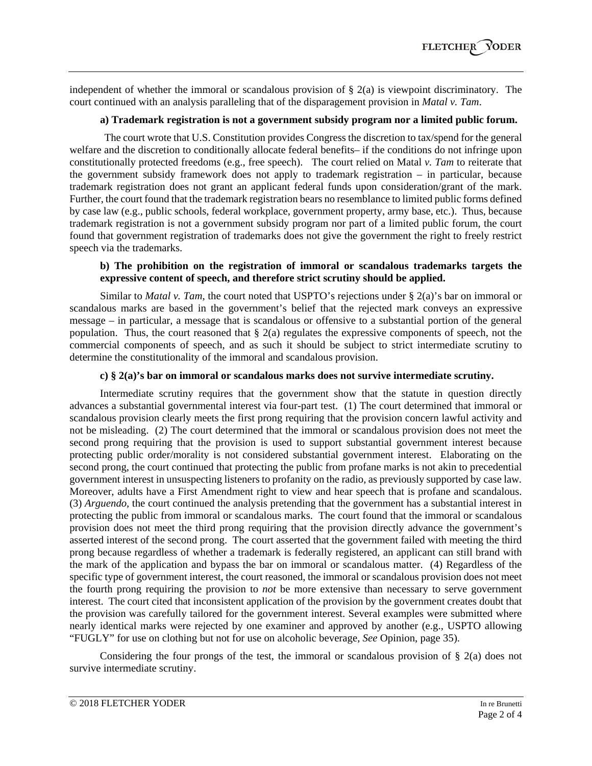independent of whether the immoral or scandalous provision of  $\S$  2(a) is viewpoint discriminatory. The court continued with an analysis paralleling that of the disparagement provision in *Matal v. Tam*.

### **a) Trademark registration is not a government subsidy program nor a limited public forum.**

The court wrote that U.S. Constitution provides Congress the discretion to tax/spend for the general welfare and the discretion to conditionally allocate federal benefits– if the conditions do not infringe upon constitutionally protected freedoms (e.g., free speech). The court relied on Matal *v. Tam* to reiterate that the government subsidy framework does not apply to trademark registration – in particular, because trademark registration does not grant an applicant federal funds upon consideration/grant of the mark. Further, the court found that the trademark registration bears no resemblance to limited public forms defined by case law (e.g., public schools, federal workplace, government property, army base, etc.). Thus, because trademark registration is not a government subsidy program nor part of a limited public forum, the court found that government registration of trademarks does not give the government the right to freely restrict speech via the trademarks.

#### **b) The prohibition on the registration of immoral or scandalous trademarks targets the expressive content of speech, and therefore strict scrutiny should be applied.**

Similar to *Matal v. Tam*, the court noted that USPTO's rejections under § 2(a)'s bar on immoral or scandalous marks are based in the government's belief that the rejected mark conveys an expressive message – in particular, a message that is scandalous or offensive to a substantial portion of the general population. Thus, the court reasoned that  $\S$  2(a) regulates the expressive components of speech, not the commercial components of speech, and as such it should be subject to strict intermediate scrutiny to determine the constitutionality of the immoral and scandalous provision.

# **c) § 2(a)'s bar on immoral or scandalous marks does not survive intermediate scrutiny.**

Intermediate scrutiny requires that the government show that the statute in question directly advances a substantial governmental interest via four-part test. (1) The court determined that immoral or scandalous provision clearly meets the first prong requiring that the provision concern lawful activity and not be misleading. (2) The court determined that the immoral or scandalous provision does not meet the second prong requiring that the provision is used to support substantial government interest because protecting public order/morality is not considered substantial government interest. Elaborating on the second prong, the court continued that protecting the public from profane marks is not akin to precedential government interest in unsuspecting listeners to profanity on the radio, as previously supported by case law*.* Moreover, adults have a First Amendment right to view and hear speech that is profane and scandalous. (3) *Arguendo,* the court continued the analysis pretending that the government has a substantial interest in protecting the public from immoral or scandalous marks. The court found that the immoral or scandalous provision does not meet the third prong requiring that the provision directly advance the government's asserted interest of the second prong. The court asserted that the government failed with meeting the third prong because regardless of whether a trademark is federally registered, an applicant can still brand with the mark of the application and bypass the bar on immoral or scandalous matter. (4) Regardless of the specific type of government interest, the court reasoned, the immoral or scandalous provision does not meet the fourth prong requiring the provision to *not* be more extensive than necessary to serve government interest. The court cited that inconsistent application of the provision by the government creates doubt that the provision was carefully tailored for the government interest. Several examples were submitted where nearly identical marks were rejected by one examiner and approved by another (e.g., USPTO allowing "FUGLY" for use on clothing but not for use on alcoholic beverage, *See* Opinion, page 35).

Considering the four prongs of the test, the immoral or scandalous provision of  $\S$  2(a) does not survive intermediate scrutiny.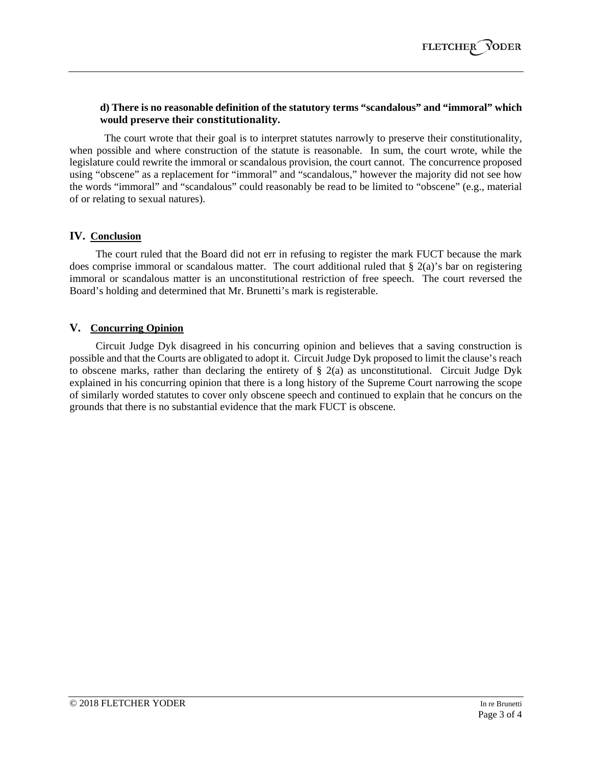# **d) There is no reasonable definition of the statutory terms "scandalous" and "immoral" which would preserve their constitutionality.**

The court wrote that their goal is to interpret statutes narrowly to preserve their constitutionality, when possible and where construction of the statute is reasonable. In sum, the court wrote, while the legislature could rewrite the immoral or scandalous provision, the court cannot. The concurrence proposed using "obscene" as a replacement for "immoral" and "scandalous," however the majority did not see how the words "immoral" and "scandalous" could reasonably be read to be limited to "obscene" (e.g., material of or relating to sexual natures).

# **IV. Conclusion**

The court ruled that the Board did not err in refusing to register the mark FUCT because the mark does comprise immoral or scandalous matter. The court additional ruled that § 2(a)'s bar on registering immoral or scandalous matter is an unconstitutional restriction of free speech. The court reversed the Board's holding and determined that Mr. Brunetti's mark is registerable.

# **V. Concurring Opinion**

Circuit Judge Dyk disagreed in his concurring opinion and believes that a saving construction is possible and that the Courts are obligated to adopt it. Circuit Judge Dyk proposed to limit the clause's reach to obscene marks, rather than declaring the entirety of  $\S$  2(a) as unconstitutional. Circuit Judge Dyk explained in his concurring opinion that there is a long history of the Supreme Court narrowing the scope of similarly worded statutes to cover only obscene speech and continued to explain that he concurs on the grounds that there is no substantial evidence that the mark FUCT is obscene.